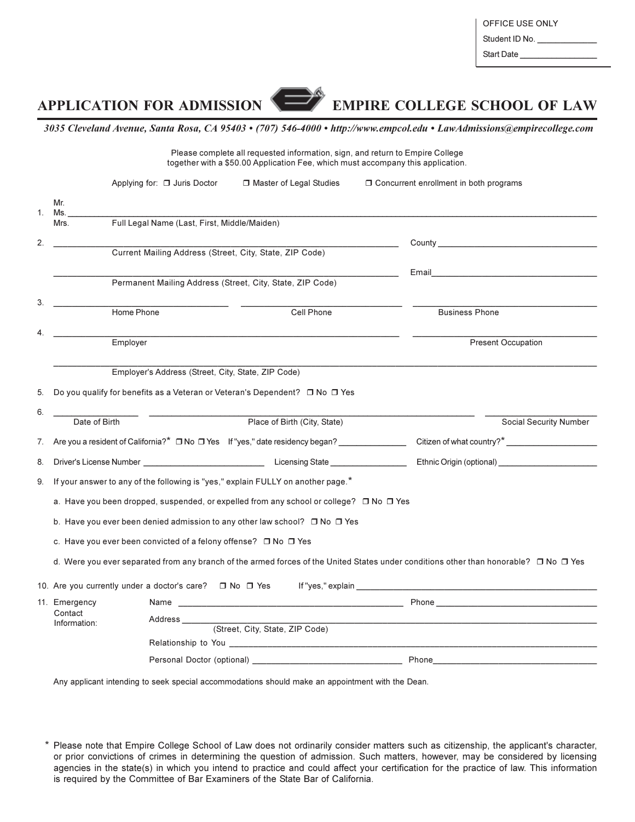Student ID No.

Start Date

**EMPIRE COLLEGE SCHOOL OF LAW** 

## **APPLICATION FOR ADMISSION**

3035 Cleveland Avenue, Santa Rosa, CA 95403 • (707) 546-4000 • http://www.empcol.edu • LawAdmissions@empirecollege.com

E

| Please complete all requested information, sign, and return to Empire College<br>together with a \$50.00 Application Fee, which must accompany this application. |                                                                                                   |                                                         |                                                                                                                                                 |                                                             |  |  |  |  |
|------------------------------------------------------------------------------------------------------------------------------------------------------------------|---------------------------------------------------------------------------------------------------|---------------------------------------------------------|-------------------------------------------------------------------------------------------------------------------------------------------------|-------------------------------------------------------------|--|--|--|--|
|                                                                                                                                                                  | Applying for: $\Box$ Juris Doctor                                                                 | □ Master of Legal Studies                               | $\Box$ Concurrent enrollment in both programs                                                                                                   |                                                             |  |  |  |  |
| Mr.<br>1.<br>Ms.                                                                                                                                                 |                                                                                                   |                                                         |                                                                                                                                                 |                                                             |  |  |  |  |
| Mrs.                                                                                                                                                             | Full Legal Name (Last, First, Middle/Maiden)                                                      |                                                         |                                                                                                                                                 |                                                             |  |  |  |  |
| 2.                                                                                                                                                               |                                                                                                   |                                                         |                                                                                                                                                 |                                                             |  |  |  |  |
|                                                                                                                                                                  |                                                                                                   | Current Mailing Address (Street, City, State, ZIP Code) |                                                                                                                                                 |                                                             |  |  |  |  |
|                                                                                                                                                                  | Permanent Mailing Address (Street, City, State, ZIP Code)                                         |                                                         |                                                                                                                                                 |                                                             |  |  |  |  |
| 3.                                                                                                                                                               | Home Phone                                                                                        | Cell Phone                                              |                                                                                                                                                 | <b>Business Phone</b>                                       |  |  |  |  |
| 4.                                                                                                                                                               | Employer                                                                                          |                                                         |                                                                                                                                                 | <b>Present Occupation</b>                                   |  |  |  |  |
| 6.                                                                                                                                                               | Date of Birth                                                                                     | Place of Birth (City, State)                            |                                                                                                                                                 |                                                             |  |  |  |  |
|                                                                                                                                                                  |                                                                                                   |                                                         |                                                                                                                                                 | Social Security Number                                      |  |  |  |  |
| 7.                                                                                                                                                               | Are you a resident of California?* □ No □ Yes If "yes," date residency began? _______________     |                                                         |                                                                                                                                                 |                                                             |  |  |  |  |
| 8.                                                                                                                                                               |                                                                                                   |                                                         |                                                                                                                                                 | Ethnic Origin (optional)<br><u>Ethnic Origin</u> (optional) |  |  |  |  |
| 9.                                                                                                                                                               | If your answer to any of the following is "yes," explain FULLY on another page.*                  |                                                         |                                                                                                                                                 |                                                             |  |  |  |  |
|                                                                                                                                                                  | a. Have you been dropped, suspended, or expelled from any school or college? $\Box$ No $\Box$ Yes |                                                         |                                                                                                                                                 |                                                             |  |  |  |  |
|                                                                                                                                                                  | b. Have you ever been denied admission to any other law school? $\Box$ No $\Box$ Yes              |                                                         |                                                                                                                                                 |                                                             |  |  |  |  |
|                                                                                                                                                                  | c. Have you ever been convicted of a felony offense? $\Box$ No $\Box$ Yes                         |                                                         |                                                                                                                                                 |                                                             |  |  |  |  |
|                                                                                                                                                                  |                                                                                                   |                                                         | d. Were you ever separated from any branch of the armed forces of the United States under conditions other than honorable? $\Box$ No $\Box$ Yes |                                                             |  |  |  |  |
|                                                                                                                                                                  |                                                                                                   |                                                         |                                                                                                                                                 |                                                             |  |  |  |  |
| 11. Emergency                                                                                                                                                    |                                                                                                   |                                                         |                                                                                                                                                 |                                                             |  |  |  |  |
| Contact<br>Information:                                                                                                                                          | Address _____________                                                                             | (Street, City, State, ZIP Code)                         |                                                                                                                                                 |                                                             |  |  |  |  |
|                                                                                                                                                                  |                                                                                                   |                                                         |                                                                                                                                                 |                                                             |  |  |  |  |
|                                                                                                                                                                  | Personal Doctor (optional) _                                                                      |                                                         | Phone                                                                                                                                           |                                                             |  |  |  |  |

Any applicant intending to seek special accommodations should make an appointment with the Dean.

\* Please note that Empire College School of Law does not ordinarily consider matters such as citizenship, the applicant's character, or prior convictions of crimes in determining the question of admission. Such matters, however, may be considered by licensing agencies in the state(s) in which you intend to practice and could affect your certification for the practice of law. This information is required by the Committee of Bar Examiners of the State Bar of California.